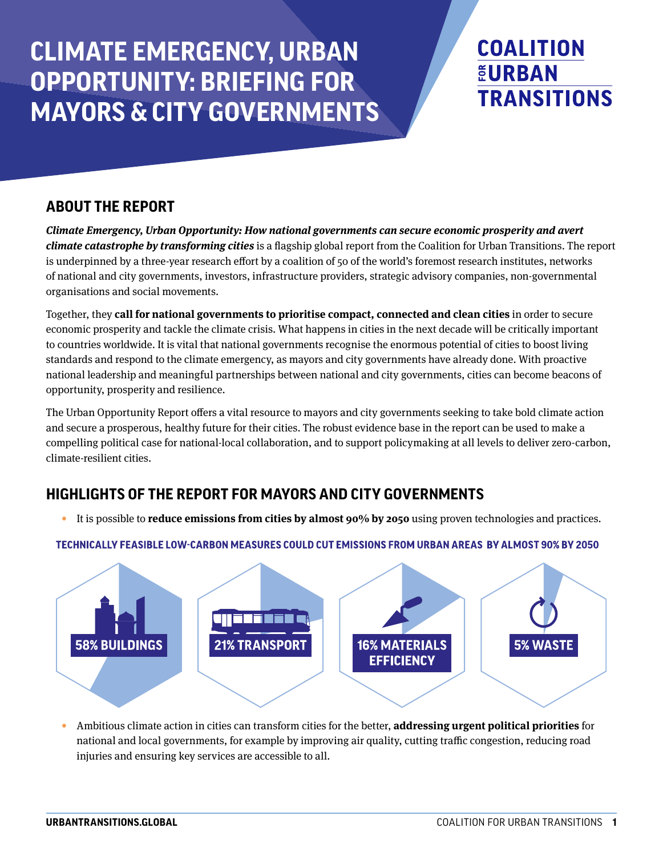# **CLIMATE EMERGENCY, URBAN OPPORTUNITY: BRIEFING FOR MAYORS & CITY GOVERNMENTS**

# **COALITION EURBAN TRANSITIONS**

# **ABOUT THE REPORT**

*Climate Emergency, Urban Opportunity: How national governments can secure economic prosperity and avert climate catastrophe by transforming cities* is a flagship global report from the Coalition for Urban Transitions. The report is underpinned by a three-year research effort by a coalition of 50 of the world's foremost research institutes, networks of national and city governments, investors, infrastructure providers, strategic advisory companies, non-governmental organisations and social movements.

Together, they **call for national governments to prioritise compact, connected and clean cities** in order to secure economic prosperity and tackle the climate crisis. What happens in cities in the next decade will be critically important to countries worldwide. It is vital that national governments recognise the enormous potential of cities to boost living standards and respond to the climate emergency, as mayors and city governments have already done. With proactive national leadership and meaningful partnerships between national and city governments, cities can become beacons of opportunity, prosperity and resilience.

The Urban Opportunity Report offers a vital resource to mayors and city governments seeking to take bold climate action and secure a prosperous, healthy future for their cities. The robust evidence base in the report can be used to make a compelling political case for national-local collaboration, and to support policymaking at all levels to deliver zero-carbon, climate-resilient cities.

# **HIGHLIGHTS OF THE REPORT FOR MAYORS AND CITY GOVERNMENTS**

• It is possible to **reduce emissions from cities by almost 90% by 2050** using proven technologies and practices.



## TECHNICALLY FEASIBLE LOW-CARBON MEASURES COULD CUT EMISSIONS FROM URBAN AREAS BY ALMOST 90% BY 2050

• Ambitious climate action in cities can transform cities for the better, **addressing urgent political priorities** for national and local governments, for example by improving air quality, cutting traffic congestion, reducing road injuries and ensuring key services are accessible to all.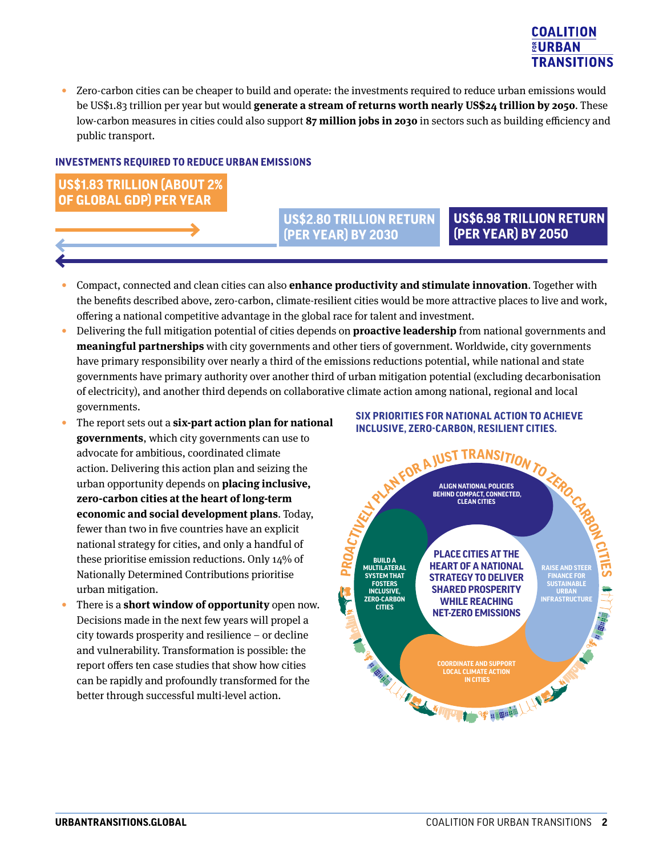## **COALITION EURBAN TRANSITIONS**

• Zero-carbon cities can be cheaper to build and operate: the investments required to reduce urban emissions would be US\$1.83 trillion per year but would **generate a stream of returns worth nearly US\$24 trillion by 2050**. These low-carbon measures in cities could also support **87 million jobs in 2030** in sectors such as building efficiency and public transport.

#### **INVESTMENTS REQUIRED TO REDUCE URBAN EMISSIONS**

**US\$1.83 TRILLION (ABOUT 2%)** OF GLOBAL GDP) PER YEAR

### **US\$2.80 TRILLION RETURN** (PER YEAR) BY 2030

## **US\$6.98 TRILLION RETURN (PER YEAR) BY 2050**

- Compact, connected and clean cities can also **enhance productivity and stimulate innovation**. Together with the benefits described above, zero-carbon, climate-resilient cities would be more attractive places to live and work, offering a national competitive advantage in the global race for talent and investment.
- Delivering the full mitigation potential of cities depends on **proactive leadership** from national governments and **meaningful partnerships** with city governments and other tiers of government. Worldwide, city governments have primary responsibility over nearly a third of the emissions reductions potential, while national and state governments have primary authority over another third of urban mitigation potential (excluding decarbonisation of electricity), and another third depends on collaborative climate action among national, regional and local governments.
- The report sets out a **six-part action plan for national governments**, which city governments can use to advocate for ambitious, coordinated climate action. Delivering this action plan and seizing the urban opportunity depends on **placing inclusive, zero-carbon cities at the heart of long-term economic and social development plans**. Today, fewer than two in five countries have an explicit national strategy for cities, and only a handful of these prioritise emission reductions. Only 14% of Nationally Determined Contributions prioritise urban mitigation.
- There is a **short window of opportunity** open now. Decisions made in the next few years will propel a city towards prosperity and resilience – or decline and vulnerability. Transformation is possible: the report offers ten case studies that show how cities can be rapidly and profoundly transformed for the better through successful multi-level action.

#### **SIX PRIORITIES FOR NATIONAL ACTION TO ACHIEVE INCLUSIVE, ZERO-CARBON, RESILIENT CITIES.**